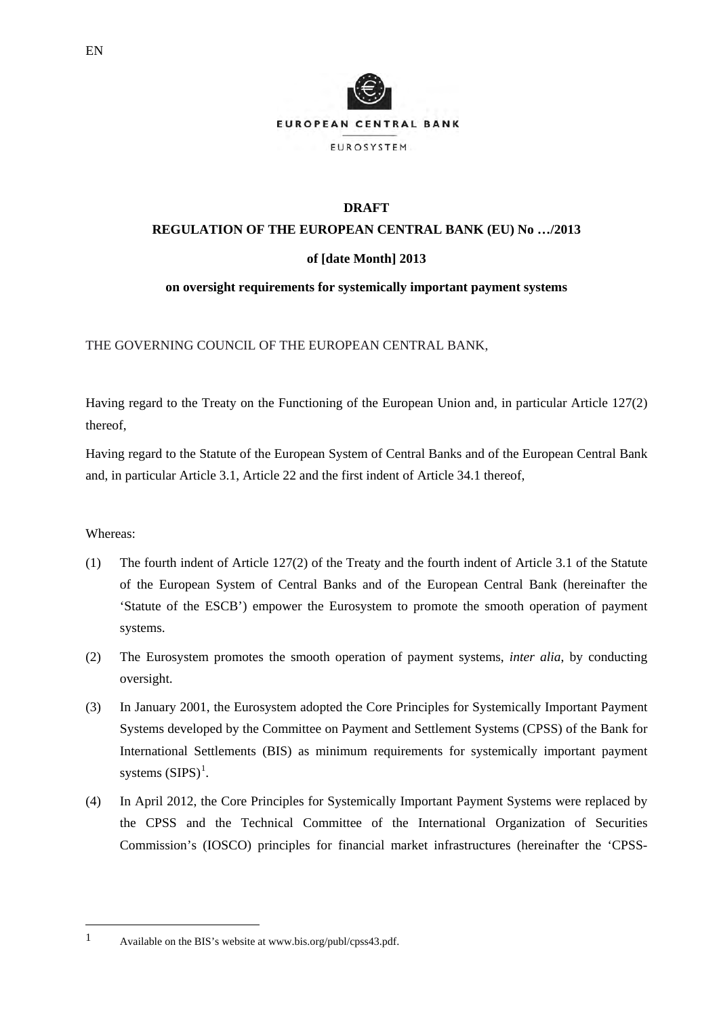

# **REGULATION OF THE EUROPEAN CENTRAL BANK (EU) No …/2013**

# **of [date Month] 2013**

# **on oversight requirements for systemically important payment systems**

THE GOVERNING COUNCIL OF THE EUROPEAN CENTRAL BANK,

Having regard to the Treaty on the Functioning of the European Union and, in particular Article 127(2) thereof,

Having regard to the Statute of the European System of Central Banks and of the European Central Bank and, in particular Article 3.1, Article 22 and the first indent of Article 34.1 thereof,

# Whereas:

- (1) The fourth indent of Article 127(2) of the Treaty and the fourth indent of Article 3.1 of the Statute of the European System of Central Banks and of the European Central Bank (hereinafter the 'Statute of the ESCB') empower the Eurosystem to promote the smooth operation of payment systems.
- (2) The Eurosystem promotes the smooth operation of payment systems, *inter alia*, by conducting oversight.
- (3) In January 2001, the Eurosystem adopted the Core Principles for Systemically Important Payment Systems developed by the Committee on Payment and Settlement Systems (CPSS) of the Bank for International Settlements (BIS) as minimum requirements for systemically important payment systems  $(SIPS)^1$  $(SIPS)^1$ .
- (4) In April 2012, the Core Principles for Systemically Important Payment Systems were replaced by the CPSS and the Technical Committee of the International Organization of Securities Commission's (IOSCO) principles for financial market infrastructures (hereinafter the 'CPSS-

 $\overline{a}$ 

<span id="page-0-0"></span><sup>1</sup> Available on the BIS's website at www.bis.org/publ/cpss43.pdf.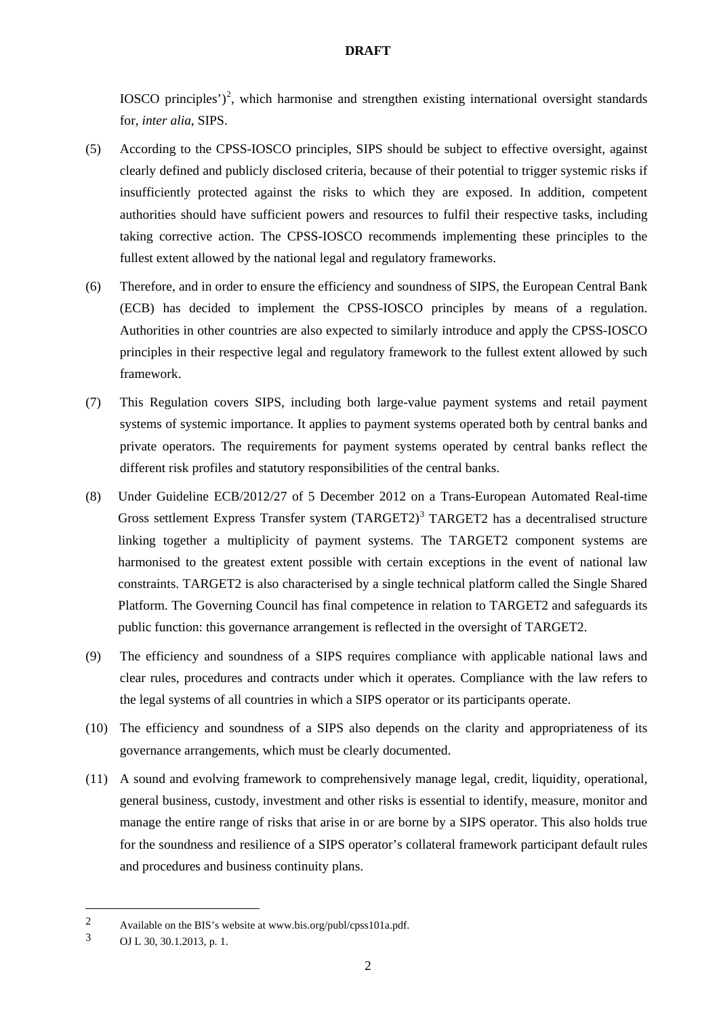IOSCO principles')<sup>[2](#page-1-0)</sup>, which harmonise and strengthen existing international oversight standards for, *inter alia*, SIPS.

- (5) According to the CPSS-IOSCO principles, SIPS should be subject to effective oversight, against clearly defined and publicly disclosed criteria, because of their potential to trigger systemic risks if insufficiently protected against the risks to which they are exposed. In addition, competent authorities should have sufficient powers and resources to fulfil their respective tasks, including taking corrective action. The CPSS-IOSCO recommends implementing these principles to the fullest extent allowed by the national legal and regulatory frameworks.
- (6) Therefore, and in order to ensure the efficiency and soundness of SIPS, the European Central Bank (ECB) has decided to implement the CPSS-IOSCO principles by means of a regulation. Authorities in other countries are also expected to similarly introduce and apply the CPSS-IOSCO principles in their respective legal and regulatory framework to the fullest extent allowed by such framework.
- (7) This Regulation covers SIPS, including both large-value payment systems and retail payment systems of systemic importance. It applies to payment systems operated both by central banks and private operators. The requirements for payment systems operated by central banks reflect the different risk profiles and statutory responsibilities of the central banks.
- (8) Under Guideline ECB/2012/27 of 5 December 2012 on a Trans-European Automated Real-time Gross settlement Express Transfer system (TARGET2)<sup>[3](#page-1-1)</sup> TARGET2 has a decentralised structure linking together a multiplicity of payment systems. The TARGET2 component systems are harmonised to the greatest extent possible with certain exceptions in the event of national law constraints. TARGET2 is also characterised by a single technical platform called the Single Shared Platform. The Governing Council has final competence in relation to TARGET2 and safeguards its public function: this governance arrangement is reflected in the oversight of TARGET2.
- (9) The efficiency and soundness of a SIPS requires compliance with applicable national laws and clear rules, procedures and contracts under which it operates. Compliance with the law refers to the legal systems of all countries in which a SIPS operator or its participants operate.
- (10) The efficiency and soundness of a SIPS also depends on the clarity and appropriateness of its governance arrangements, which must be clearly documented.
- (11) A sound and evolving framework to comprehensively manage legal, credit, liquidity, operational, general business, custody, investment and other risks is essential to identify, measure, monitor and manage the entire range of risks that arise in or are borne by a SIPS operator. This also holds true for the soundness and resilience of a SIPS operator's collateral framework participant default rules and procedures and business continuity plans.

**.** 

<span id="page-1-0"></span><sup>2</sup> Available on the BIS's website at www.bis.org/publ/cpss101a.pdf.

<span id="page-1-1"></span><sup>3</sup> OJ L 30, 30.1.2013, p. 1.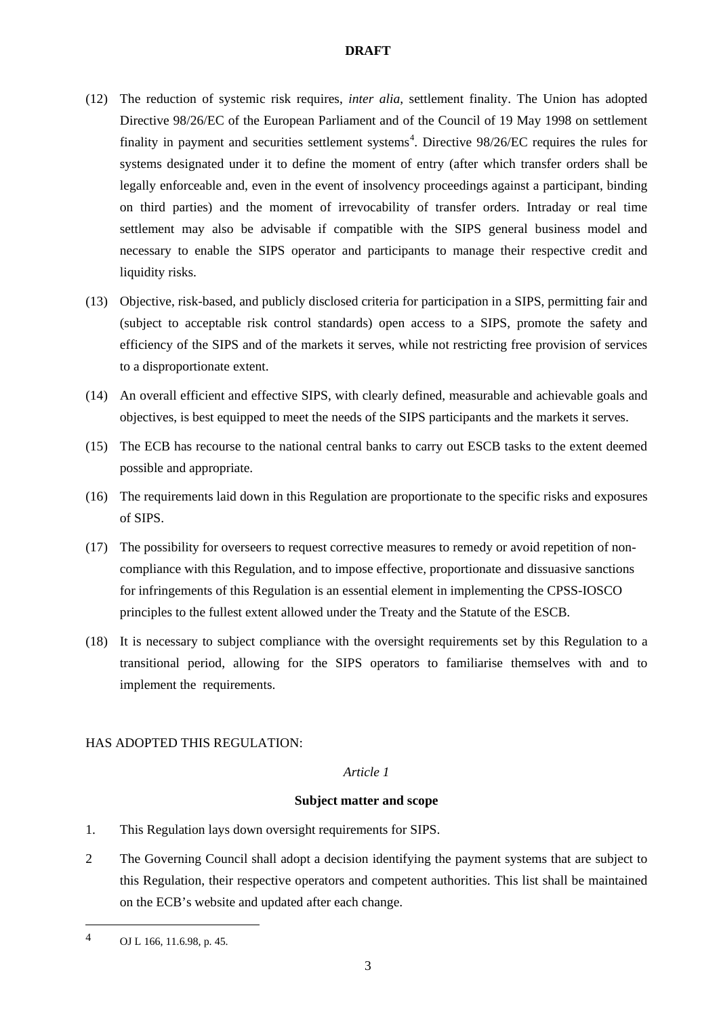- (12) The reduction of systemic risk requires, *inter alia*, settlement finality. The Union has adopted Directive 98/26/EC of the European Parliament and of the Council of 19 May 1998 on settlement finality in payment and securities settlement systems<sup>[4](#page-2-0)</sup>. Directive  $98/26$ /EC requires the rules for systems designated under it to define the moment of entry (after which transfer orders shall be legally enforceable and, even in the event of insolvency proceedings against a participant, binding on third parties) and the moment of irrevocability of transfer orders. Intraday or real time settlement may also be advisable if compatible with the SIPS general business model and necessary to enable the SIPS operator and participants to manage their respective credit and liquidity risks.
- (13) Objective, risk-based, and publicly disclosed criteria for participation in a SIPS, permitting fair and (subject to acceptable risk control standards) open access to a SIPS, promote the safety and efficiency of the SIPS and of the markets it serves, while not restricting free provision of services to a disproportionate extent.
- (14) An overall efficient and effective SIPS, with clearly defined, measurable and achievable goals and objectives, is best equipped to meet the needs of the SIPS participants and the markets it serves.
- (15) The ECB has recourse to the national central banks to carry out ESCB tasks to the extent deemed possible and appropriate.
- (16) The requirements laid down in this Regulation are proportionate to the specific risks and exposures of SIPS.
- (17) The possibility for overseers to request corrective measures to remedy or avoid repetition of noncompliance with this Regulation, and to impose effective, proportionate and dissuasive sanctions for infringements of this Regulation is an essential element in implementing the CPSS-IOSCO principles to the fullest extent allowed under the Treaty and the Statute of the ESCB.
- (18) It is necessary to subject compliance with the oversight requirements set by this Regulation to a transitional period, allowing for the SIPS operators to familiarise themselves with and to implement the requirements.

# HAS ADOPTED THIS REGULATION:

## *Article 1*

# **Subject matter and scope**

- 1. This Regulation lays down oversight requirements for SIPS.
- 2 The Governing Council shall adopt a decision identifying the payment systems that are subject to this Regulation, their respective operators and competent authorities. This list shall be maintained on the ECB's website and updated after each change.

 $\overline{a}$ 

<span id="page-2-0"></span><sup>4</sup> OJ L 166, 11.6.98, p. 45.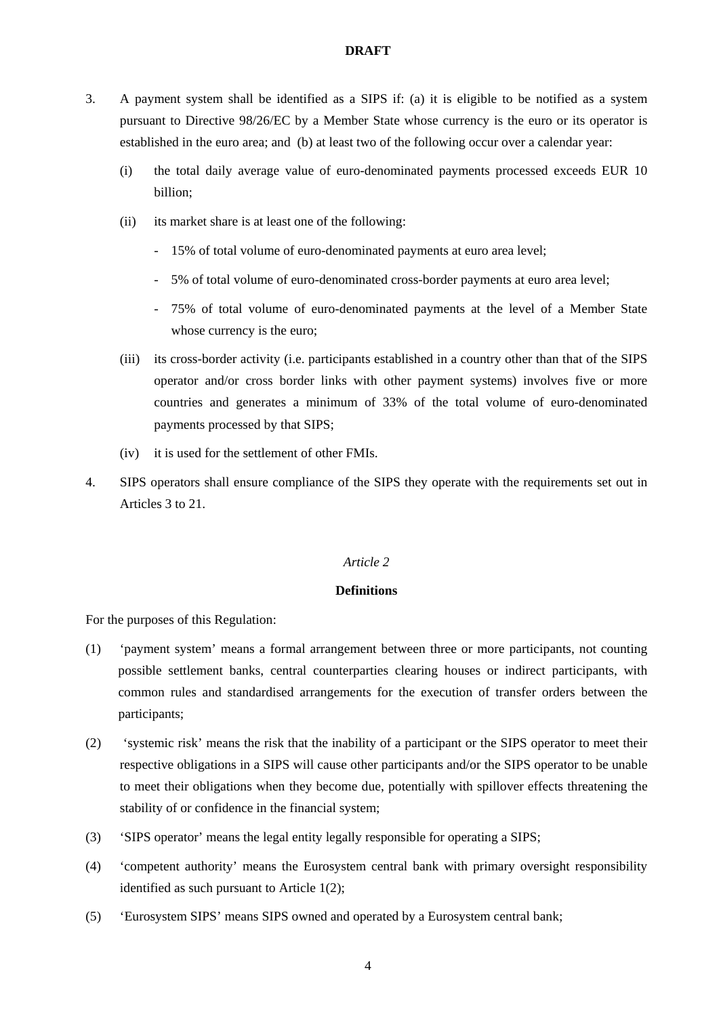- 3. A payment system shall be identified as a SIPS if: (a) it is eligible to be notified as a system pursuant to Directive 98/26/EC by a Member State whose currency is the euro or its operator is established in the euro area; and (b) at least two of the following occur over a calendar year:
	- (i) the total daily average value of euro-denominated payments processed exceeds EUR 10 billion;
	- (ii) its market share is at least one of the following:
		- 15% of total volume of euro-denominated payments at euro area level;
		- 5% of total volume of euro-denominated cross-border payments at euro area level;
		- 75% of total volume of euro-denominated payments at the level of a Member State whose currency is the euro;
	- (iii) its cross-border activity (i.e. participants established in a country other than that of the SIPS operator and/or cross border links with other payment systems) involves five or more countries and generates a minimum of 33% of the total volume of euro-denominated payments processed by that SIPS;
	- (iv) it is used for the settlement of other FMIs.
- 4. SIPS operators shall ensure compliance of the SIPS they operate with the requirements set out in Articles 3 to 21.

### *Article 2*

# **Definitions**

For the purposes of this Regulation:

- (1) 'payment system' means a formal arrangement between three or more participants, not counting possible settlement banks, central counterparties clearing houses or indirect participants, with common rules and standardised arrangements for the execution of transfer orders between the participants;
- (2) 'systemic risk' means the risk that the inability of a participant or the SIPS operator to meet their respective obligations in a SIPS will cause other participants and/or the SIPS operator to be unable to meet their obligations when they become due, potentially with spillover effects threatening the stability of or confidence in the financial system;
- (3) 'SIPS operator' means the legal entity legally responsible for operating a SIPS;
- (4) 'competent authority' means the Eurosystem central bank with primary oversight responsibility identified as such pursuant to Article 1(2);
- (5) 'Eurosystem SIPS' means SIPS owned and operated by a Eurosystem central bank;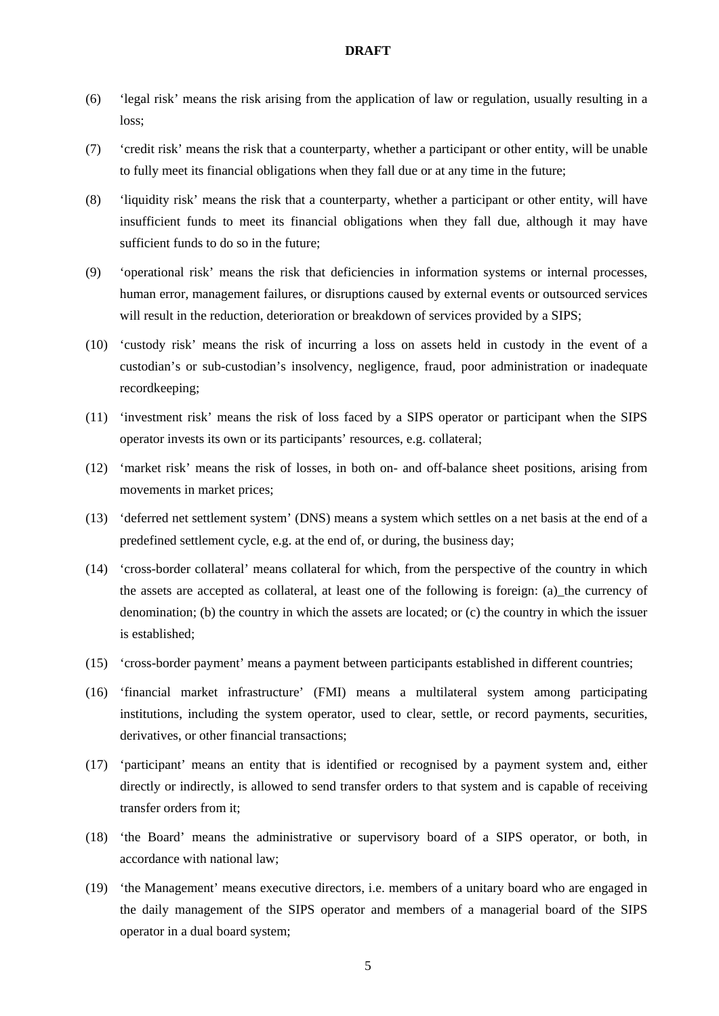- (6) 'legal risk' means the risk arising from the application of law or regulation, usually resulting in a loss;
- (7) 'credit risk' means the risk that a counterparty, whether a participant or other entity, will be unable to fully meet its financial obligations when they fall due or at any time in the future;
- (8) 'liquidity risk' means the risk that a counterparty, whether a participant or other entity, will have insufficient funds to meet its financial obligations when they fall due, although it may have sufficient funds to do so in the future;
- (9) 'operational risk' means the risk that deficiencies in information systems or internal processes, human error, management failures, or disruptions caused by external events or outsourced services will result in the reduction, deterioration or breakdown of services provided by a SIPS;
- (10) 'custody risk' means the risk of incurring a loss on assets held in custody in the event of a custodian's or sub-custodian's insolvency, negligence, fraud, poor administration or inadequate recordkeeping;
- (11) 'investment risk' means the risk of loss faced by a SIPS operator or participant when the SIPS operator invests its own or its participants' resources, e.g. collateral;
- (12) 'market risk' means the risk of losses, in both on- and off-balance sheet positions, arising from movements in market prices;
- (13) 'deferred net settlement system' (DNS) means a system which settles on a net basis at the end of a predefined settlement cycle, e.g. at the end of, or during, the business day;
- (14) 'cross-border collateral' means collateral for which, from the perspective of the country in which the assets are accepted as collateral, at least one of the following is foreign: (a)\_the currency of denomination; (b) the country in which the assets are located; or (c) the country in which the issuer is established;
- (15) 'cross-border payment' means a payment between participants established in different countries;
- (16) 'financial market infrastructure' (FMI) means a multilateral system among participating institutions, including the system operator, used to clear, settle, or record payments, securities, derivatives, or other financial transactions;
- (17) 'participant' means an entity that is identified or recognised by a payment system and, either directly or indirectly, is allowed to send transfer orders to that system and is capable of receiving transfer orders from it;
- (18) 'the Board' means the administrative or supervisory board of a SIPS operator, or both, in accordance with national law;
- (19) 'the Management' means executive directors, i.e. members of a unitary board who are engaged in the daily management of the SIPS operator and members of a managerial board of the SIPS operator in a dual board system;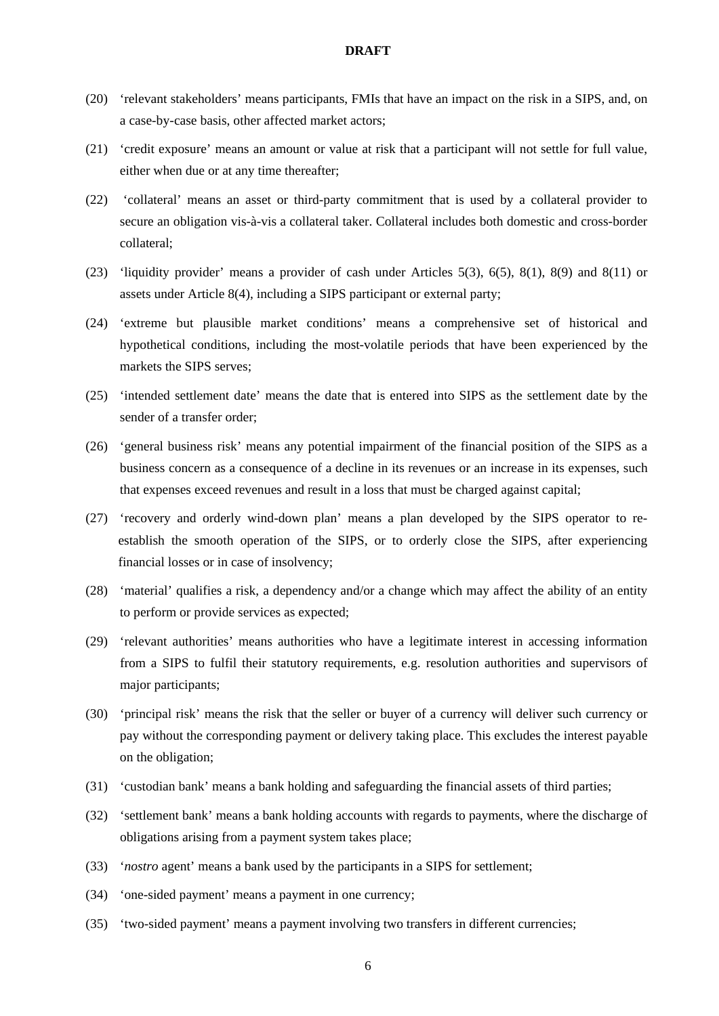- (20) 'relevant stakeholders' means participants, FMIs that have an impact on the risk in a SIPS, and, on a case-by-case basis, other affected market actors;
- (21) 'credit exposure' means an amount or value at risk that a participant will not settle for full value, either when due or at any time thereafter;
- (22) 'collateral' means an asset or third-party commitment that is used by a collateral provider to secure an obligation vis-à-vis a collateral taker. Collateral includes both domestic and cross-border collateral;
- (23) 'liquidity provider' means a provider of cash under Articles 5(3), 6(5), 8(1), 8(9) and 8(11) or assets under Article 8(4), including a SIPS participant or external party;
- (24) 'extreme but plausible market conditions' means a comprehensive set of historical and hypothetical conditions, including the most-volatile periods that have been experienced by the markets the SIPS serves;
- (25) 'intended settlement date' means the date that is entered into SIPS as the settlement date by the sender of a transfer order;
- (26) 'general business risk' means any potential impairment of the financial position of the SIPS as a business concern as a consequence of a decline in its revenues or an increase in its expenses, such that expenses exceed revenues and result in a loss that must be charged against capital;
- (27) 'recovery and orderly wind-down plan' means a plan developed by the SIPS operator to reestablish the smooth operation of the SIPS, or to orderly close the SIPS, after experiencing financial losses or in case of insolvency;
- (28) 'material' qualifies a risk, a dependency and/or a change which may affect the ability of an entity to perform or provide services as expected;
- (29) 'relevant authorities' means authorities who have a legitimate interest in accessing information from a SIPS to fulfil their statutory requirements, e.g. resolution authorities and supervisors of major participants;
- (30) 'principal risk' means the risk that the seller or buyer of a currency will deliver such currency or pay without the corresponding payment or delivery taking place. This excludes the interest payable on the obligation;
- (31) 'custodian bank' means a bank holding and safeguarding the financial assets of third parties;
- (32) 'settlement bank' means a bank holding accounts with regards to payments, where the discharge of obligations arising from a payment system takes place;
- (33) '*nostro* agent' means a bank used by the participants in a SIPS for settlement;
- (34) 'one-sided payment' means a payment in one currency;
- (35) 'two-sided payment' means a payment involving two transfers in different currencies;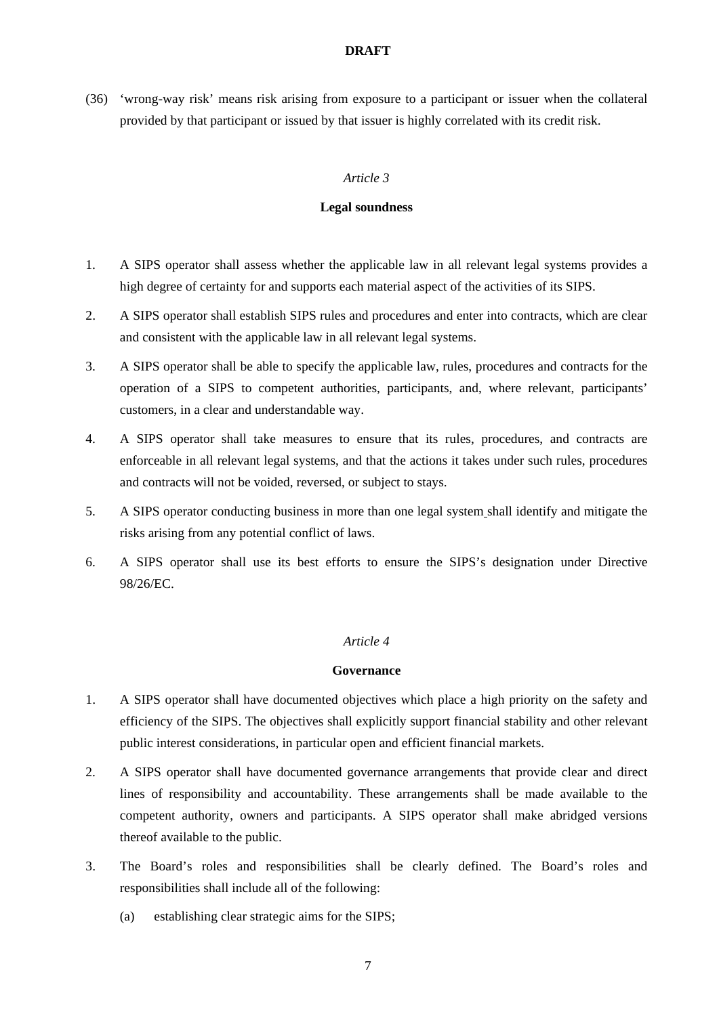(36) 'wrong-way risk' means risk arising from exposure to a participant or issuer when the collateral provided by that participant or issued by that issuer is highly correlated with its credit risk.

## *Article 3*

# **Legal soundness**

- 1. A SIPS operator shall assess whether the applicable law in all relevant legal systems provides a high degree of certainty for and supports each material aspect of the activities of its SIPS.
- 2. A SIPS operator shall establish SIPS rules and procedures and enter into contracts, which are clear and consistent with the applicable law in all relevant legal systems.
- 3. A SIPS operator shall be able to specify the applicable law, rules, procedures and contracts for the operation of a SIPS to competent authorities, participants, and, where relevant, participants' customers, in a clear and understandable way.
- 4. A SIPS operator shall take measures to ensure that its rules, procedures, and contracts are enforceable in all relevant legal systems, and that the actions it takes under such rules, procedures and contracts will not be voided, reversed, or subject to stays.
- 5. A SIPS operator conducting business in more than one legal system shall identify and mitigate the risks arising from any potential conflict of laws.
- 6. A SIPS operator shall use its best efforts to ensure the SIPS's designation under Directive 98/26/EC.

## *Article 4*

### **Governance**

- 1. A SIPS operator shall have documented objectives which place a high priority on the safety and efficiency of the SIPS. The objectives shall explicitly support financial stability and other relevant public interest considerations, in particular open and efficient financial markets.
- 2. A SIPS operator shall have documented governance arrangements that provide clear and direct lines of responsibility and accountability. These arrangements shall be made available to the competent authority, owners and participants. A SIPS operator shall make abridged versions thereof available to the public.
- 3. The Board's roles and responsibilities shall be clearly defined. The Board's roles and responsibilities shall include all of the following:
	- (a) establishing clear strategic aims for the SIPS;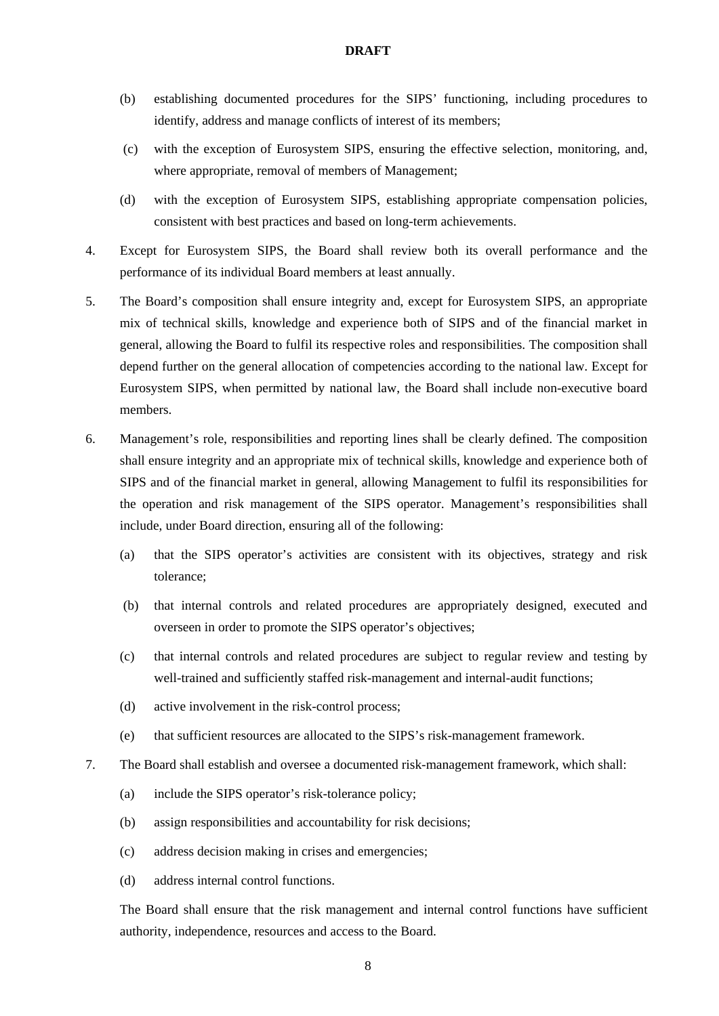- (b) establishing documented procedures for the SIPS' functioning, including procedures to identify, address and manage conflicts of interest of its members;
- (c) with the exception of Eurosystem SIPS, ensuring the effective selection, monitoring, and, where appropriate, removal of members of Management;
- (d) with the exception of Eurosystem SIPS, establishing appropriate compensation policies, consistent with best practices and based on long-term achievements.
- 4. Except for Eurosystem SIPS, the Board shall review both its overall performance and the performance of its individual Board members at least annually.
- 5. The Board's composition shall ensure integrity and, except for Eurosystem SIPS, an appropriate mix of technical skills, knowledge and experience both of SIPS and of the financial market in general, allowing the Board to fulfil its respective roles and responsibilities. The composition shall depend further on the general allocation of competencies according to the national law. Except for Eurosystem SIPS, when permitted by national law, the Board shall include non-executive board members.
- 6. Management's role, responsibilities and reporting lines shall be clearly defined. The composition shall ensure integrity and an appropriate mix of technical skills, knowledge and experience both of SIPS and of the financial market in general, allowing Management to fulfil its responsibilities for the operation and risk management of the SIPS operator. Management's responsibilities shall include, under Board direction, ensuring all of the following:
	- (a) that the SIPS operator's activities are consistent with its objectives, strategy and risk tolerance;
	- (b) that internal controls and related procedures are appropriately designed, executed and overseen in order to promote the SIPS operator's objectives;
	- (c) that internal controls and related procedures are subject to regular review and testing by well-trained and sufficiently staffed risk-management and internal-audit functions;
	- (d) active involvement in the risk-control process;
	- (e) that sufficient resources are allocated to the SIPS's risk-management framework.
- 7. The Board shall establish and oversee a documented risk-management framework, which shall:
	- (a) include the SIPS operator's risk-tolerance policy;
	- (b) assign responsibilities and accountability for risk decisions;
	- (c) address decision making in crises and emergencies;
	- (d) address internal control functions.

The Board shall ensure that the risk management and internal control functions have sufficient authority, independence, resources and access to the Board.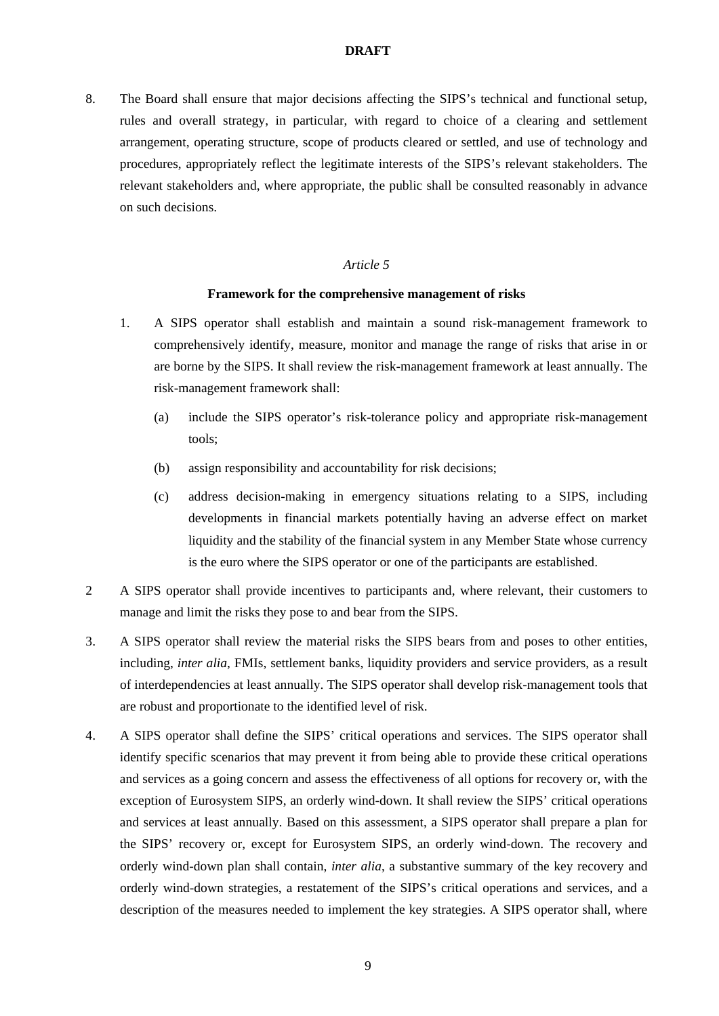8. The Board shall ensure that major decisions affecting the SIPS's technical and functional setup, rules and overall strategy, in particular, with regard to choice of a clearing and settlement arrangement, operating structure, scope of products cleared or settled, and use of technology and procedures, appropriately reflect the legitimate interests of the SIPS's relevant stakeholders. The relevant stakeholders and, where appropriate, the public shall be consulted reasonably in advance on such decisions.

# *Article 5*

#### **Framework for the comprehensive management of risks**

- 1. A SIPS operator shall establish and maintain a sound risk-management framework to comprehensively identify, measure, monitor and manage the range of risks that arise in or are borne by the SIPS. It shall review the risk-management framework at least annually. The risk-management framework shall:
	- (a) include the SIPS operator's risk-tolerance policy and appropriate risk-management tools;
	- (b) assign responsibility and accountability for risk decisions;
	- (c) address decision-making in emergency situations relating to a SIPS, including developments in financial markets potentially having an adverse effect on market liquidity and the stability of the financial system in any Member State whose currency is the euro where the SIPS operator or one of the participants are established.
- 2 A SIPS operator shall provide incentives to participants and, where relevant, their customers to manage and limit the risks they pose to and bear from the SIPS.
- 3. A SIPS operator shall review the material risks the SIPS bears from and poses to other entities, including, *inter alia*, FMIs, settlement banks, liquidity providers and service providers, as a result of interdependencies at least annually. The SIPS operator shall develop risk-management tools that are robust and proportionate to the identified level of risk.
- 4. A SIPS operator shall define the SIPS' critical operations and services. The SIPS operator shall identify specific scenarios that may prevent it from being able to provide these critical operations and services as a going concern and assess the effectiveness of all options for recovery or, with the exception of Eurosystem SIPS, an orderly wind-down. It shall review the SIPS' critical operations and services at least annually. Based on this assessment, a SIPS operator shall prepare a plan for the SIPS' recovery or, except for Eurosystem SIPS, an orderly wind-down. The recovery and orderly wind-down plan shall contain, *inter alia*, a substantive summary of the key recovery and orderly wind-down strategies, a restatement of the SIPS's critical operations and services, and a description of the measures needed to implement the key strategies. A SIPS operator shall, where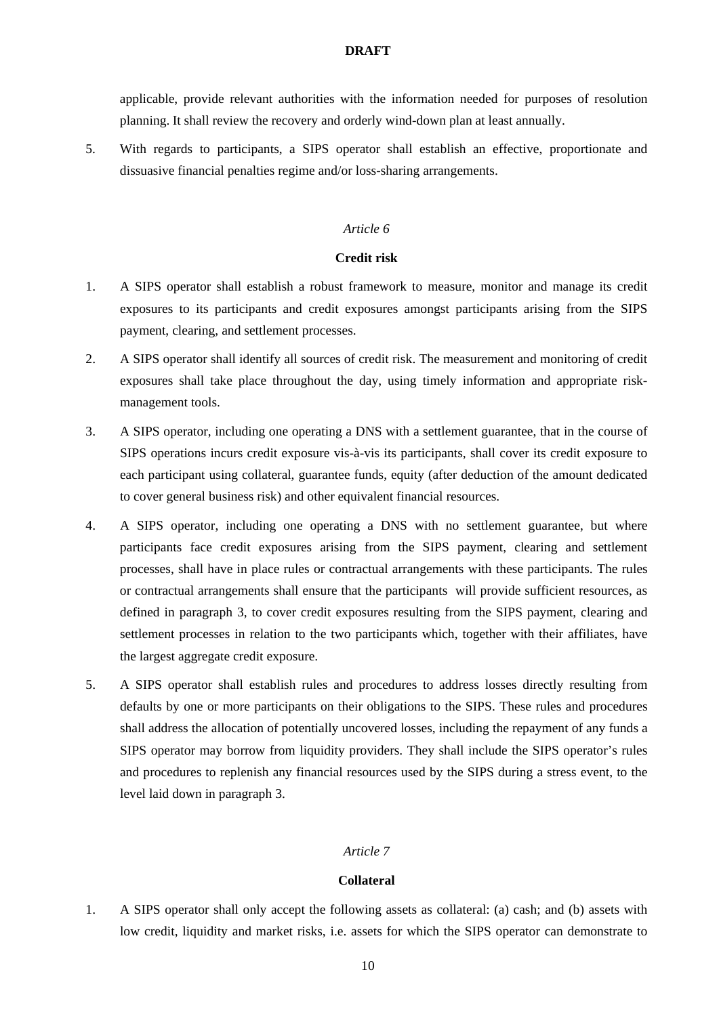applicable, provide relevant authorities with the information needed for purposes of resolution planning. It shall review the recovery and orderly wind-down plan at least annually.

5. With regards to participants, a SIPS operator shall establish an effective, proportionate and dissuasive financial penalties regime and/or loss-sharing arrangements.

### *Article 6*

## **Credit risk**

- 1. A SIPS operator shall establish a robust framework to measure, monitor and manage its credit exposures to its participants and credit exposures amongst participants arising from the SIPS payment, clearing, and settlement processes.
- 2. A SIPS operator shall identify all sources of credit risk. The measurement and monitoring of credit exposures shall take place throughout the day, using timely information and appropriate riskmanagement tools.
- 3. A SIPS operator, including one operating a DNS with a settlement guarantee, that in the course of SIPS operations incurs credit exposure vis-à-vis its participants, shall cover its credit exposure to each participant using collateral, guarantee funds, equity (after deduction of the amount dedicated to cover general business risk) and other equivalent financial resources.
- 4. A SIPS operator, including one operating a DNS with no settlement guarantee, but where participants face credit exposures arising from the SIPS payment, clearing and settlement processes, shall have in place rules or contractual arrangements with these participants. The rules or contractual arrangements shall ensure that the participants will provide sufficient resources, as defined in paragraph 3, to cover credit exposures resulting from the SIPS payment, clearing and settlement processes in relation to the two participants which, together with their affiliates, have the largest aggregate credit exposure.
- 5. A SIPS operator shall establish rules and procedures to address losses directly resulting from defaults by one or more participants on their obligations to the SIPS. These rules and procedures shall address the allocation of potentially uncovered losses, including the repayment of any funds a SIPS operator may borrow from liquidity providers. They shall include the SIPS operator's rules and procedures to replenish any financial resources used by the SIPS during a stress event, to the level laid down in paragraph 3.

## *Article 7*

## **Collateral**

1. A SIPS operator shall only accept the following assets as collateral: (a) cash; and (b) assets with low credit, liquidity and market risks, i.e. assets for which the SIPS operator can demonstrate to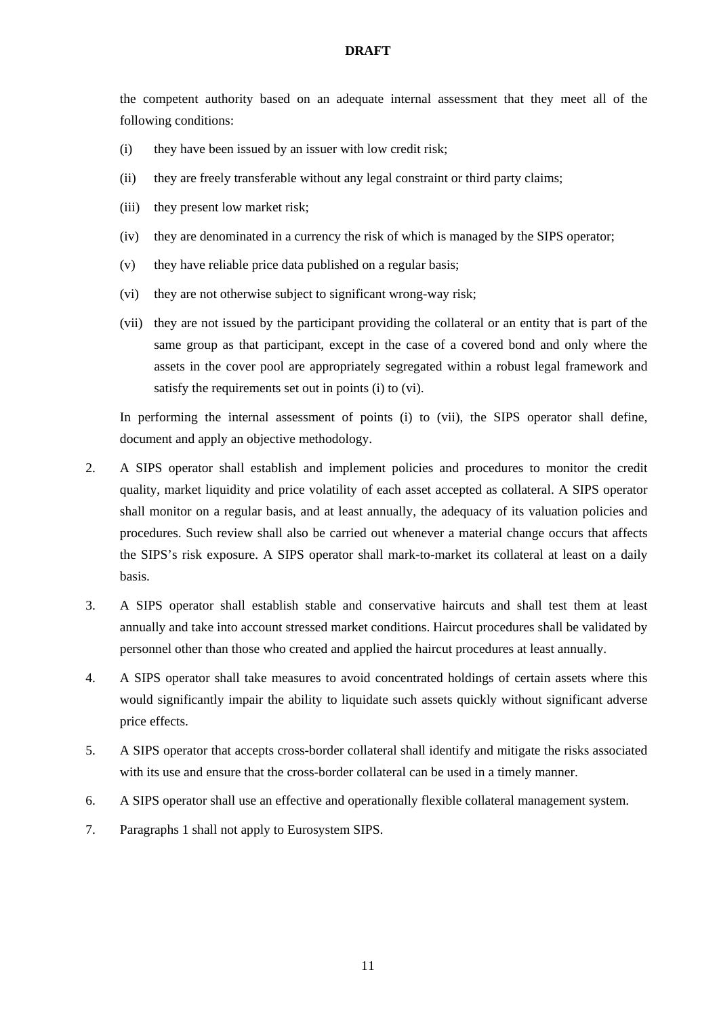the competent authority based on an adequate internal assessment that they meet all of the following conditions:

- (i) they have been issued by an issuer with low credit risk;
- (ii) they are freely transferable without any legal constraint or third party claims;
- (iii) they present low market risk;
- (iv) they are denominated in a currency the risk of which is managed by the SIPS operator;
- (v) they have reliable price data published on a regular basis;
- (vi) they are not otherwise subject to significant wrong-way risk;
- (vii) they are not issued by the participant providing the collateral or an entity that is part of the same group as that participant, except in the case of a covered bond and only where the assets in the cover pool are appropriately segregated within a robust legal framework and satisfy the requirements set out in points (i) to (vi).

In performing the internal assessment of points (i) to (vii), the SIPS operator shall define, document and apply an objective methodology.

- 2. A SIPS operator shall establish and implement policies and procedures to monitor the credit quality, market liquidity and price volatility of each asset accepted as collateral. A SIPS operator shall monitor on a regular basis, and at least annually, the adequacy of its valuation policies and procedures. Such review shall also be carried out whenever a material change occurs that affects the SIPS's risk exposure. A SIPS operator shall mark-to-market its collateral at least on a daily basis.
- 3. A SIPS operator shall establish stable and conservative haircuts and shall test them at least annually and take into account stressed market conditions. Haircut procedures shall be validated by personnel other than those who created and applied the haircut procedures at least annually.
- 4. A SIPS operator shall take measures to avoid concentrated holdings of certain assets where this would significantly impair the ability to liquidate such assets quickly without significant adverse price effects.
- 5. A SIPS operator that accepts cross-border collateral shall identify and mitigate the risks associated with its use and ensure that the cross-border collateral can be used in a timely manner.
- 6. A SIPS operator shall use an effective and operationally flexible collateral management system.
- 7. Paragraphs 1 shall not apply to Eurosystem SIPS.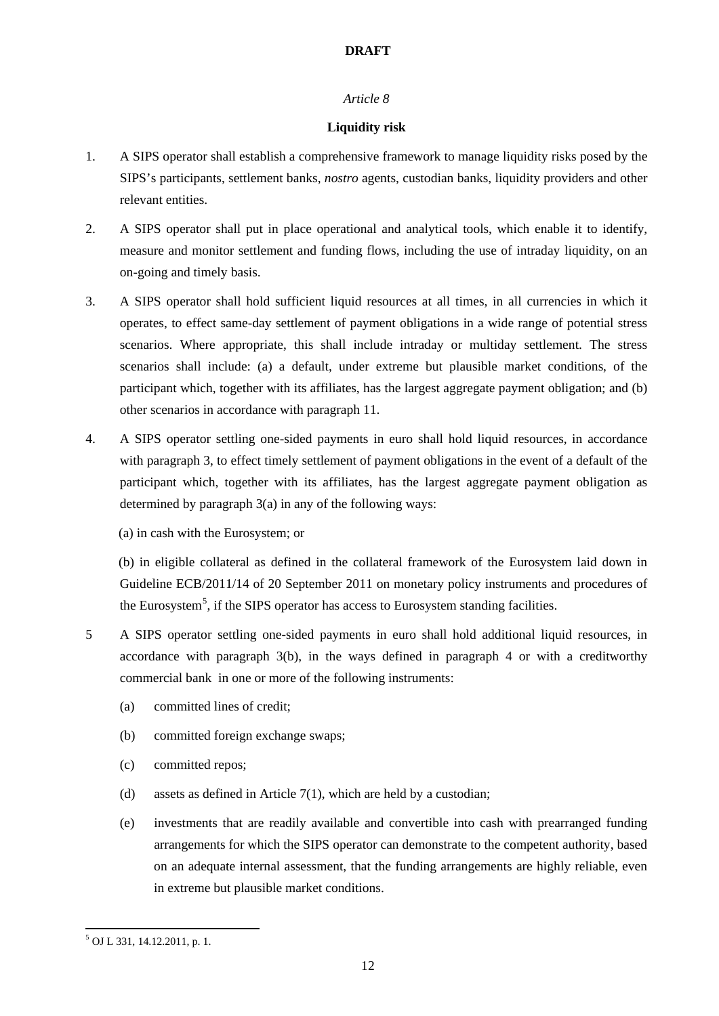## *Article 8*

## **Liquidity risk**

- 1. A SIPS operator shall establish a comprehensive framework to manage liquidity risks posed by the SIPS's participants, settlement banks, *nostro* agents, custodian banks, liquidity providers and other relevant entities.
- 2. A SIPS operator shall put in place operational and analytical tools, which enable it to identify, measure and monitor settlement and funding flows, including the use of intraday liquidity, on an on-going and timely basis.
- 3. A SIPS operator shall hold sufficient liquid resources at all times, in all currencies in which it operates, to effect same-day settlement of payment obligations in a wide range of potential stress scenarios. Where appropriate, this shall include intraday or multiday settlement. The stress scenarios shall include: (a) a default, under extreme but plausible market conditions, of the participant which, together with its affiliates, has the largest aggregate payment obligation; and (b) other scenarios in accordance with paragraph 11.
- 4. A SIPS operator settling one-sided payments in euro shall hold liquid resources, in accordance with paragraph 3, to effect timely settlement of payment obligations in the event of a default of the participant which, together with its affiliates, has the largest aggregate payment obligation as determined by paragraph 3(a) in any of the following ways:
	- (a) in cash with the Eurosystem; or

 (b) in eligible collateral as defined in the collateral framework of the Eurosystem laid down in Guideline ECB/2011/14 of 20 September 2011 on monetary policy instruments and procedures of the Eurosystem<sup>[5](#page-11-0)</sup>, if the SIPS operator has access to Eurosystem standing facilities.

- 5 A SIPS operator settling one-sided payments in euro shall hold additional liquid resources, in accordance with paragraph 3(b), in the ways defined in paragraph 4 or with a creditworthy commercial bank in one or more of the following instruments:
	- (a) committed lines of credit;
	- (b) committed foreign exchange swaps;
	- (c) committed repos;
	- (d) assets as defined in Article 7(1), which are held by a custodian;
	- (e) investments that are readily available and convertible into cash with prearranged funding arrangements for which the SIPS operator can demonstrate to the competent authority, based on an adequate internal assessment, that the funding arrangements are highly reliable, even in extreme but plausible market conditions.

 $\overline{a}$ 

<span id="page-11-0"></span><sup>5</sup> OJ L 331, 14.12.2011, p. 1.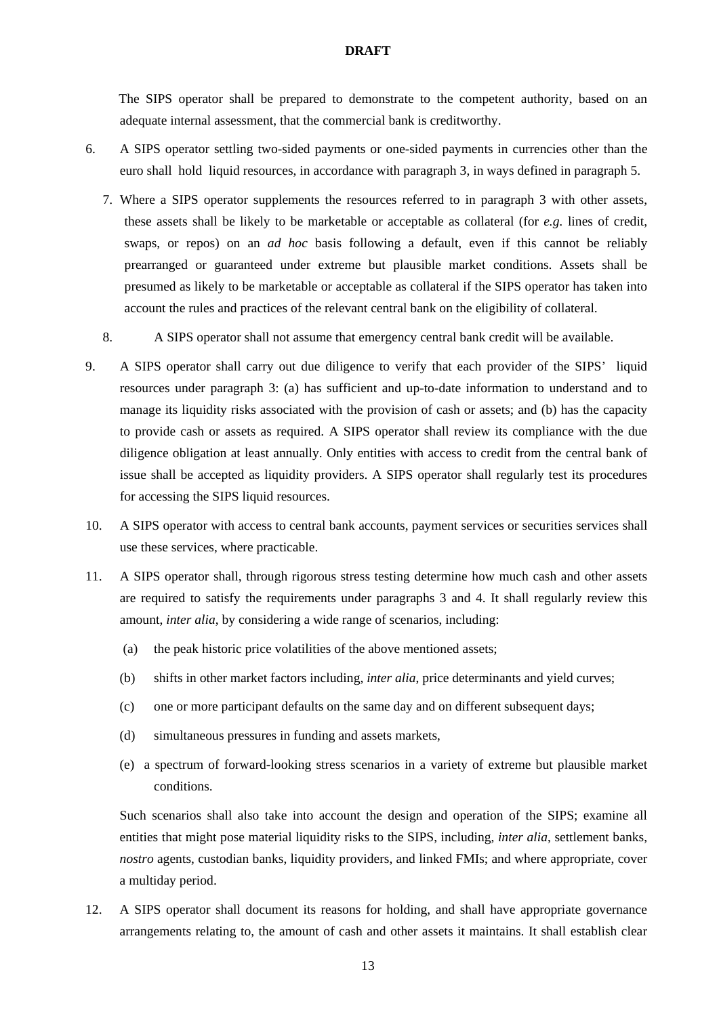The SIPS operator shall be prepared to demonstrate to the competent authority, based on an adequate internal assessment, that the commercial bank is creditworthy.

- 6. A SIPS operator settling two-sided payments or one-sided payments in currencies other than the euro shall hold liquid resources, in accordance with paragraph 3, in ways defined in paragraph 5.
	- 7. Where a SIPS operator supplements the resources referred to in paragraph 3 with other assets, these assets shall be likely to be marketable or acceptable as collateral (for *e.g.* lines of credit, swaps, or repos) on an *ad hoc* basis following a default, even if this cannot be reliably prearranged or guaranteed under extreme but plausible market conditions. Assets shall be presumed as likely to be marketable or acceptable as collateral if the SIPS operator has taken into account the rules and practices of the relevant central bank on the eligibility of collateral.
	- 8. A SIPS operator shall not assume that emergency central bank credit will be available.
- 9. A SIPS operator shall carry out due diligence to verify that each provider of the SIPS' liquid resources under paragraph 3: (a) has sufficient and up-to-date information to understand and to manage its liquidity risks associated with the provision of cash or assets; and (b) has the capacity to provide cash or assets as required. A SIPS operator shall review its compliance with the due diligence obligation at least annually. Only entities with access to credit from the central bank of issue shall be accepted as liquidity providers. A SIPS operator shall regularly test its procedures for accessing the SIPS liquid resources.
- 10. A SIPS operator with access to central bank accounts, payment services or securities services shall use these services, where practicable.
- 11. A SIPS operator shall, through rigorous stress testing determine how much cash and other assets are required to satisfy the requirements under paragraphs 3 and 4. It shall regularly review this amount, *inter alia*, by considering a wide range of scenarios, including:
	- (a) the peak historic price volatilities of the above mentioned assets;
	- (b) shifts in other market factors including, *inter alia*, price determinants and yield curves;
	- (c) one or more participant defaults on the same day and on different subsequent days;
	- (d) simultaneous pressures in funding and assets markets,
	- (e) a spectrum of forward-looking stress scenarios in a variety of extreme but plausible market conditions.

Such scenarios shall also take into account the design and operation of the SIPS; examine all entities that might pose material liquidity risks to the SIPS, including, *inter alia*, settlement banks, *nostro* agents, custodian banks, liquidity providers, and linked FMIs; and where appropriate, cover a multiday period.

12. A SIPS operator shall document its reasons for holding, and shall have appropriate governance arrangements relating to, the amount of cash and other assets it maintains. It shall establish clear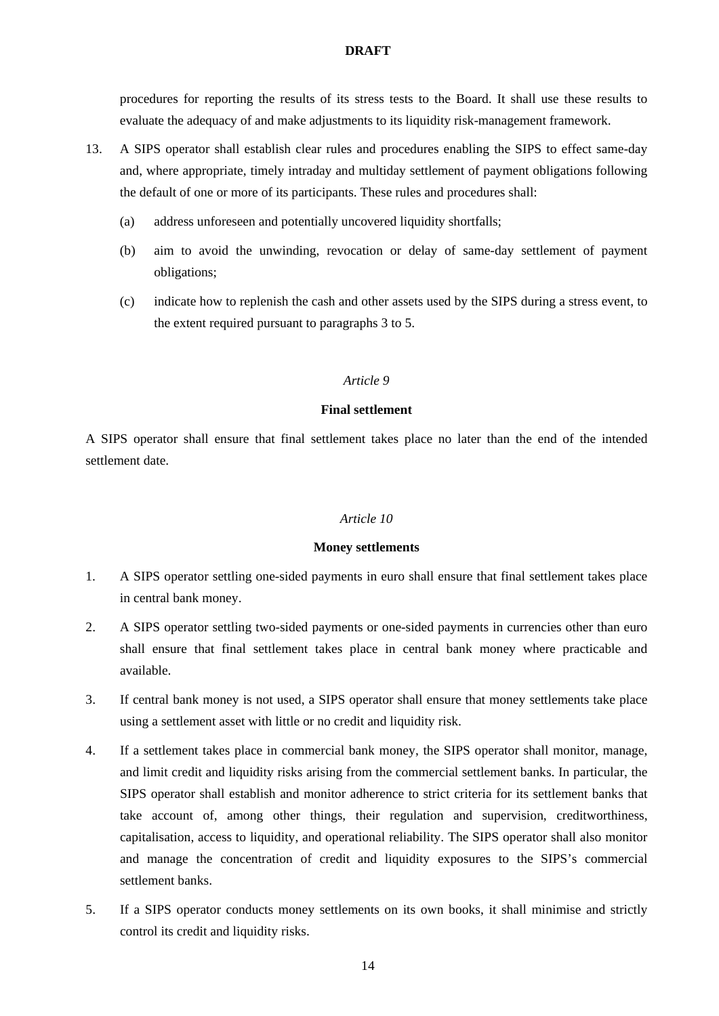procedures for reporting the results of its stress tests to the Board. It shall use these results to evaluate the adequacy of and make adjustments to its liquidity risk-management framework.

- 13. A SIPS operator shall establish clear rules and procedures enabling the SIPS to effect same-day and, where appropriate, timely intraday and multiday settlement of payment obligations following the default of one or more of its participants. These rules and procedures shall:
	- (a) address unforeseen and potentially uncovered liquidity shortfalls;
	- (b) aim to avoid the unwinding, revocation or delay of same-day settlement of payment obligations;
	- (c) indicate how to replenish the cash and other assets used by the SIPS during a stress event, to the extent required pursuant to paragraphs 3 to 5.

### *Article 9*

### **Final settlement**

A SIPS operator shall ensure that final settlement takes place no later than the end of the intended settlement date.

### *Article 10*

#### **Money settlements**

- 1. A SIPS operator settling one-sided payments in euro shall ensure that final settlement takes place in central bank money.
- 2. A SIPS operator settling two-sided payments or one-sided payments in currencies other than euro shall ensure that final settlement takes place in central bank money where practicable and available.
- 3. If central bank money is not used, a SIPS operator shall ensure that money settlements take place using a settlement asset with little or no credit and liquidity risk.
- 4. If a settlement takes place in commercial bank money, the SIPS operator shall monitor, manage, and limit credit and liquidity risks arising from the commercial settlement banks. In particular, the SIPS operator shall establish and monitor adherence to strict criteria for its settlement banks that take account of, among other things, their regulation and supervision, creditworthiness, capitalisation, access to liquidity, and operational reliability. The SIPS operator shall also monitor and manage the concentration of credit and liquidity exposures to the SIPS's commercial settlement banks.
- 5. If a SIPS operator conducts money settlements on its own books, it shall minimise and strictly control its credit and liquidity risks.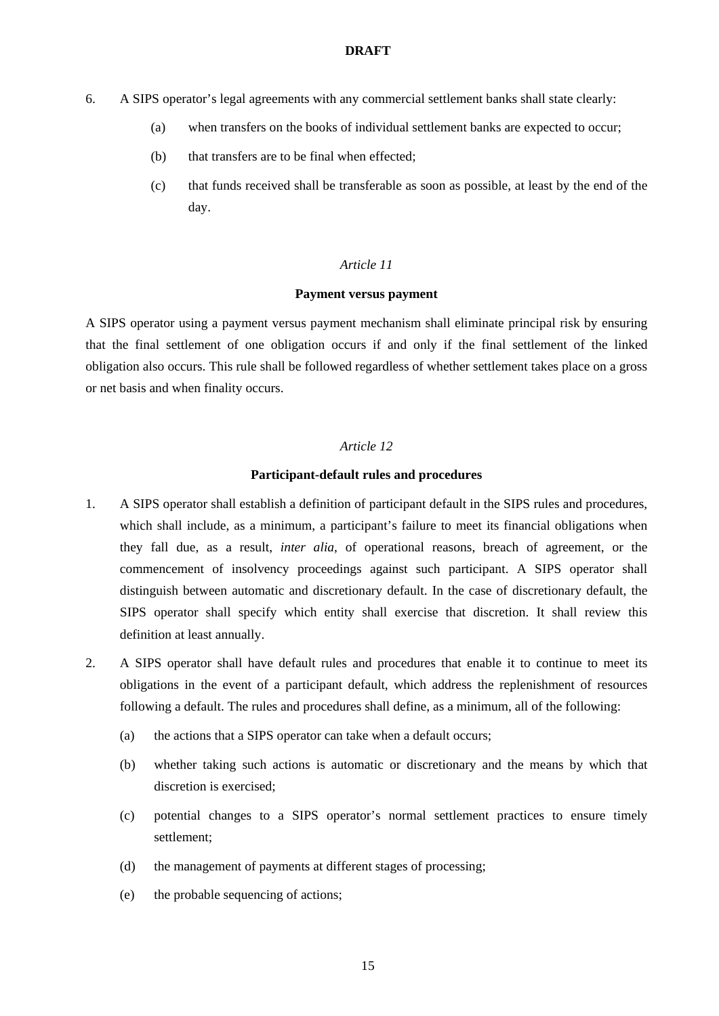- 6. A SIPS operator's legal agreements with any commercial settlement banks shall state clearly:
	- (a) when transfers on the books of individual settlement banks are expected to occur;
	- (b) that transfers are to be final when effected;
	- (c) that funds received shall be transferable as soon as possible, at least by the end of the day.

# *Article 11*

#### **Payment versus payment**

A SIPS operator using a payment versus payment mechanism shall eliminate principal risk by ensuring that the final settlement of one obligation occurs if and only if the final settlement of the linked obligation also occurs. This rule shall be followed regardless of whether settlement takes place on a gross or net basis and when finality occurs.

# *Article 12*

## **Participant-default rules and procedures**

- 1. A SIPS operator shall establish a definition of participant default in the SIPS rules and procedures, which shall include, as a minimum, a participant's failure to meet its financial obligations when they fall due, as a result, *inter alia*, of operational reasons, breach of agreement, or the commencement of insolvency proceedings against such participant. A SIPS operator shall distinguish between automatic and discretionary default. In the case of discretionary default, the SIPS operator shall specify which entity shall exercise that discretion. It shall review this definition at least annually.
- 2. A SIPS operator shall have default rules and procedures that enable it to continue to meet its obligations in the event of a participant default, which address the replenishment of resources following a default. The rules and procedures shall define, as a minimum, all of the following:
	- (a) the actions that a SIPS operator can take when a default occurs;
	- (b) whether taking such actions is automatic or discretionary and the means by which that discretion is exercised;
	- (c) potential changes to a SIPS operator's normal settlement practices to ensure timely settlement;
	- (d) the management of payments at different stages of processing;
	- (e) the probable sequencing of actions;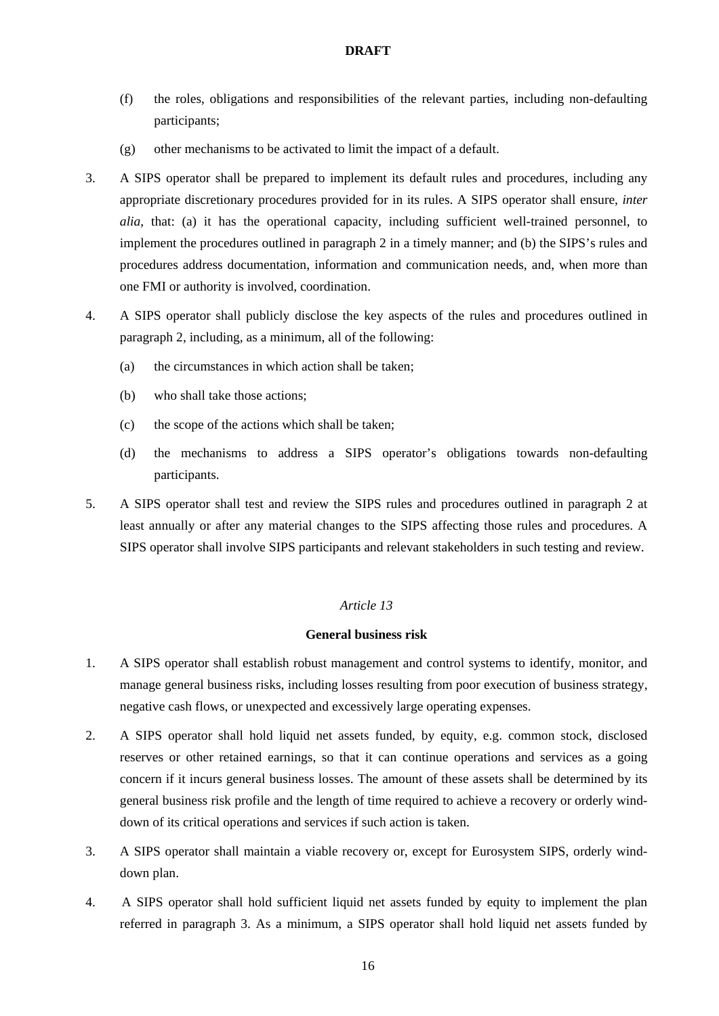- (f) the roles, obligations and responsibilities of the relevant parties, including non-defaulting participants;
- (g) other mechanisms to be activated to limit the impact of a default.
- 3. A SIPS operator shall be prepared to implement its default rules and procedures, including any appropriate discretionary procedures provided for in its rules. A SIPS operator shall ensure, *inter alia*, that: (a) it has the operational capacity, including sufficient well-trained personnel, to implement the procedures outlined in paragraph 2 in a timely manner; and (b) the SIPS's rules and procedures address documentation, information and communication needs, and, when more than one FMI or authority is involved, coordination.
- 4. A SIPS operator shall publicly disclose the key aspects of the rules and procedures outlined in paragraph 2, including, as a minimum, all of the following:
	- (a) the circumstances in which action shall be taken;
	- (b) who shall take those actions;
	- (c) the scope of the actions which shall be taken;
	- (d) the mechanisms to address a SIPS operator's obligations towards non-defaulting participants.
- 5. A SIPS operator shall test and review the SIPS rules and procedures outlined in paragraph 2 at least annually or after any material changes to the SIPS affecting those rules and procedures. A SIPS operator shall involve SIPS participants and relevant stakeholders in such testing and review.

# *Article 13*

## **General business risk**

- 1. A SIPS operator shall establish robust management and control systems to identify, monitor, and manage general business risks, including losses resulting from poor execution of business strategy, negative cash flows, or unexpected and excessively large operating expenses.
- 2. A SIPS operator shall hold liquid net assets funded, by equity, e.g. common stock, disclosed reserves or other retained earnings, so that it can continue operations and services as a going concern if it incurs general business losses. The amount of these assets shall be determined by its general business risk profile and the length of time required to achieve a recovery or orderly winddown of its critical operations and services if such action is taken.
- 3. A SIPS operator shall maintain a viable recovery or, except for Eurosystem SIPS, orderly winddown plan.
- 4. A SIPS operator shall hold sufficient liquid net assets funded by equity to implement the plan referred in paragraph 3. As a minimum, a SIPS operator shall hold liquid net assets funded by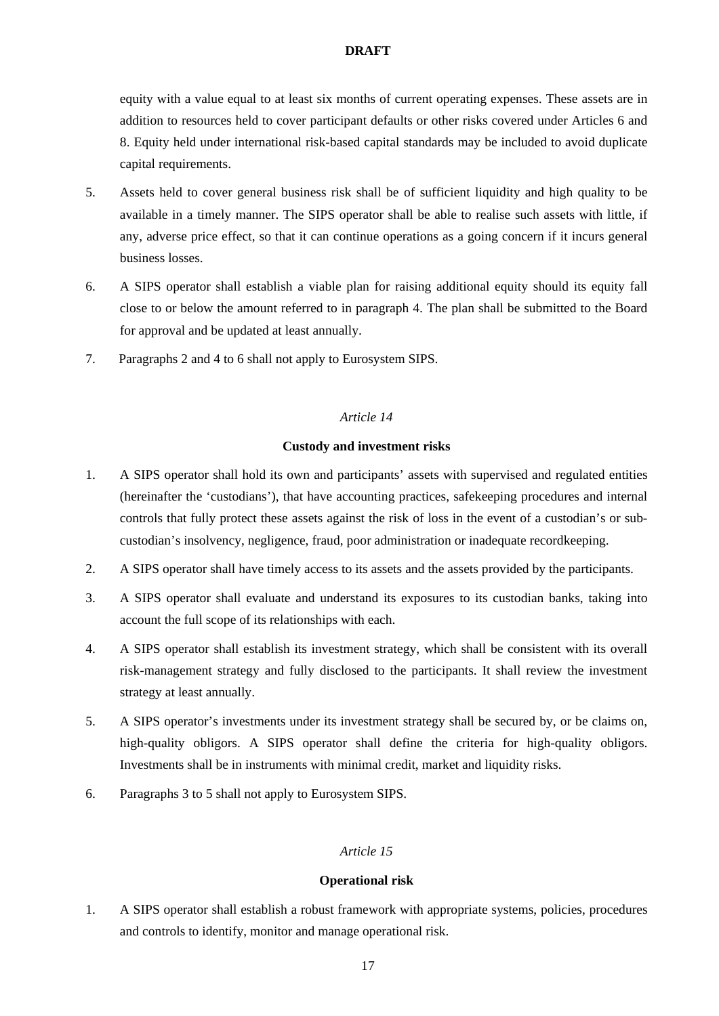equity with a value equal to at least six months of current operating expenses. These assets are in addition to resources held to cover participant defaults or other risks covered under Articles 6 and 8. Equity held under international risk-based capital standards may be included to avoid duplicate capital requirements.

- 5. Assets held to cover general business risk shall be of sufficient liquidity and high quality to be available in a timely manner. The SIPS operator shall be able to realise such assets with little, if any, adverse price effect, so that it can continue operations as a going concern if it incurs general business losses.
- 6. A SIPS operator shall establish a viable plan for raising additional equity should its equity fall close to or below the amount referred to in paragraph 4. The plan shall be submitted to the Board for approval and be updated at least annually.
- 7. Paragraphs 2 and 4 to 6 shall not apply to Eurosystem SIPS.

# *Article 14*

# **Custody and investment risks**

- 1. A SIPS operator shall hold its own and participants' assets with supervised and regulated entities (hereinafter the 'custodians'), that have accounting practices, safekeeping procedures and internal controls that fully protect these assets against the risk of loss in the event of a custodian's or subcustodian's insolvency, negligence, fraud, poor administration or inadequate recordkeeping.
- 2. A SIPS operator shall have timely access to its assets and the assets provided by the participants.
- 3. A SIPS operator shall evaluate and understand its exposures to its custodian banks, taking into account the full scope of its relationships with each.
- 4. A SIPS operator shall establish its investment strategy, which shall be consistent with its overall risk-management strategy and fully disclosed to the participants. It shall review the investment strategy at least annually.
- 5. A SIPS operator's investments under its investment strategy shall be secured by, or be claims on, high-quality obligors. A SIPS operator shall define the criteria for high-quality obligors. Investments shall be in instruments with minimal credit, market and liquidity risks.
- 6. Paragraphs 3 to 5 shall not apply to Eurosystem SIPS.

# *Article 15*

# **Operational risk**

1. A SIPS operator shall establish a robust framework with appropriate systems, policies, procedures and controls to identify, monitor and manage operational risk.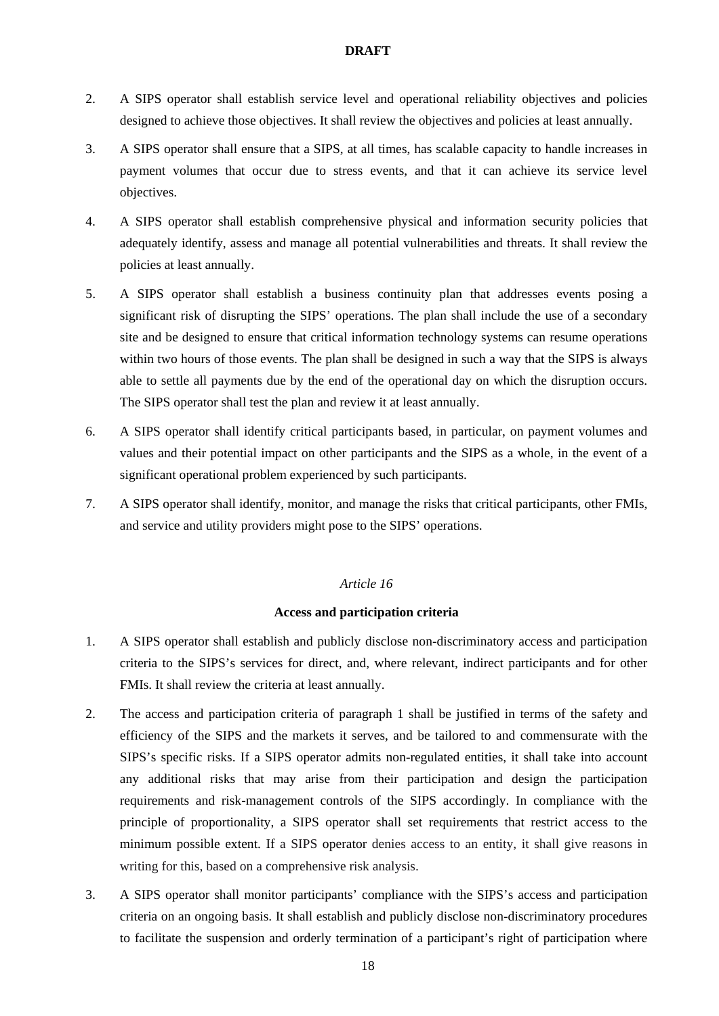- 2. A SIPS operator shall establish service level and operational reliability objectives and policies designed to achieve those objectives. It shall review the objectives and policies at least annually.
- 3. A SIPS operator shall ensure that a SIPS, at all times, has scalable capacity to handle increases in payment volumes that occur due to stress events, and that it can achieve its service level objectives.
- 4. A SIPS operator shall establish comprehensive physical and information security policies that adequately identify, assess and manage all potential vulnerabilities and threats. It shall review the policies at least annually.
- 5. A SIPS operator shall establish a business continuity plan that addresses events posing a significant risk of disrupting the SIPS' operations. The plan shall include the use of a secondary site and be designed to ensure that critical information technology systems can resume operations within two hours of those events. The plan shall be designed in such a way that the SIPS is always able to settle all payments due by the end of the operational day on which the disruption occurs. The SIPS operator shall test the plan and review it at least annually.
- 6. A SIPS operator shall identify critical participants based, in particular, on payment volumes and values and their potential impact on other participants and the SIPS as a whole, in the event of a significant operational problem experienced by such participants.
- 7. A SIPS operator shall identify, monitor, and manage the risks that critical participants, other FMIs, and service and utility providers might pose to the SIPS' operations.

# *Article 16*

# **Access and participation criteria**

- 1. A SIPS operator shall establish and publicly disclose non-discriminatory access and participation criteria to the SIPS's services for direct, and, where relevant, indirect participants and for other FMIs. It shall review the criteria at least annually.
- 2. The access and participation criteria of paragraph 1 shall be justified in terms of the safety and efficiency of the SIPS and the markets it serves, and be tailored to and commensurate with the SIPS's specific risks. If a SIPS operator admits non-regulated entities, it shall take into account any additional risks that may arise from their participation and design the participation requirements and risk-management controls of the SIPS accordingly. In compliance with the principle of proportionality, a SIPS operator shall set requirements that restrict access to the minimum possible extent. If a SIPS operator denies access to an entity, it shall give reasons in writing for this, based on a comprehensive risk analysis.
- 3. A SIPS operator shall monitor participants' compliance with the SIPS's access and participation criteria on an ongoing basis. It shall establish and publicly disclose non-discriminatory procedures to facilitate the suspension and orderly termination of a participant's right of participation where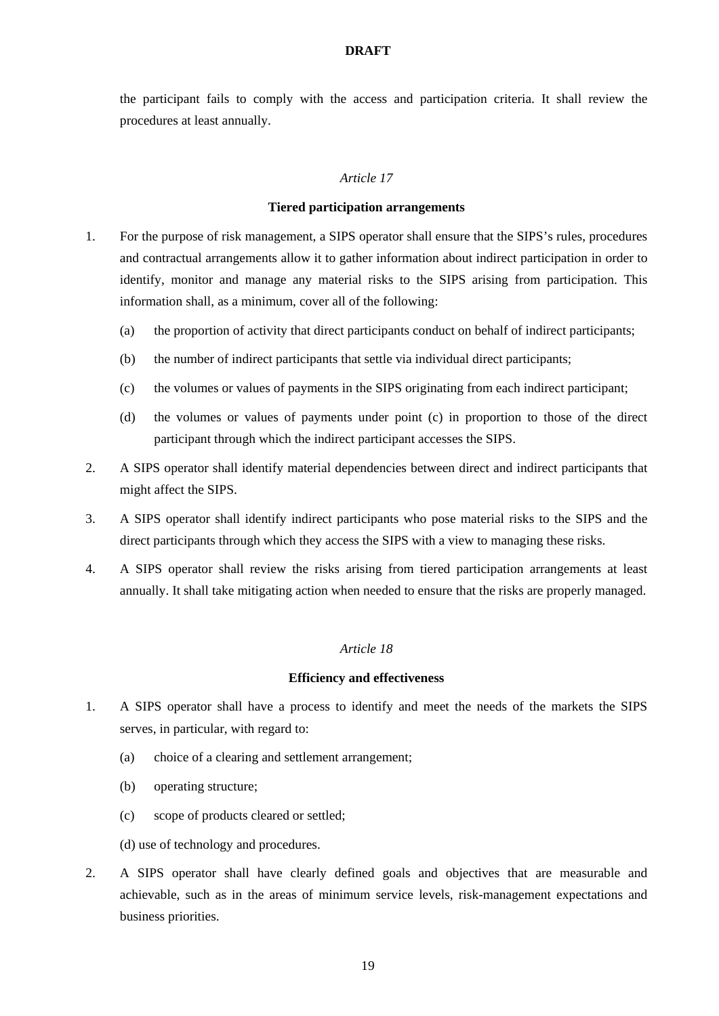the participant fails to comply with the access and participation criteria. It shall review the procedures at least annually.

# *Article 17*

### **Tiered participation arrangements**

- 1. For the purpose of risk management, a SIPS operator shall ensure that the SIPS's rules, procedures and contractual arrangements allow it to gather information about indirect participation in order to identify, monitor and manage any material risks to the SIPS arising from participation. This information shall, as a minimum, cover all of the following:
	- (a) the proportion of activity that direct participants conduct on behalf of indirect participants;
	- (b) the number of indirect participants that settle via individual direct participants;
	- (c) the volumes or values of payments in the SIPS originating from each indirect participant;
	- (d) the volumes or values of payments under point (c) in proportion to those of the direct participant through which the indirect participant accesses the SIPS.
- 2. A SIPS operator shall identify material dependencies between direct and indirect participants that might affect the SIPS.
- 3. A SIPS operator shall identify indirect participants who pose material risks to the SIPS and the direct participants through which they access the SIPS with a view to managing these risks.
- 4. A SIPS operator shall review the risks arising from tiered participation arrangements at least annually. It shall take mitigating action when needed to ensure that the risks are properly managed.

## *Article 18*

#### **Efficiency and effectiveness**

- 1. A SIPS operator shall have a process to identify and meet the needs of the markets the SIPS serves, in particular, with regard to:
	- (a) choice of a clearing and settlement arrangement;
	- (b) operating structure;
	- (c) scope of products cleared or settled;
	- (d) use of technology and procedures.
- 2. A SIPS operator shall have clearly defined goals and objectives that are measurable and achievable, such as in the areas of minimum service levels, risk-management expectations and business priorities.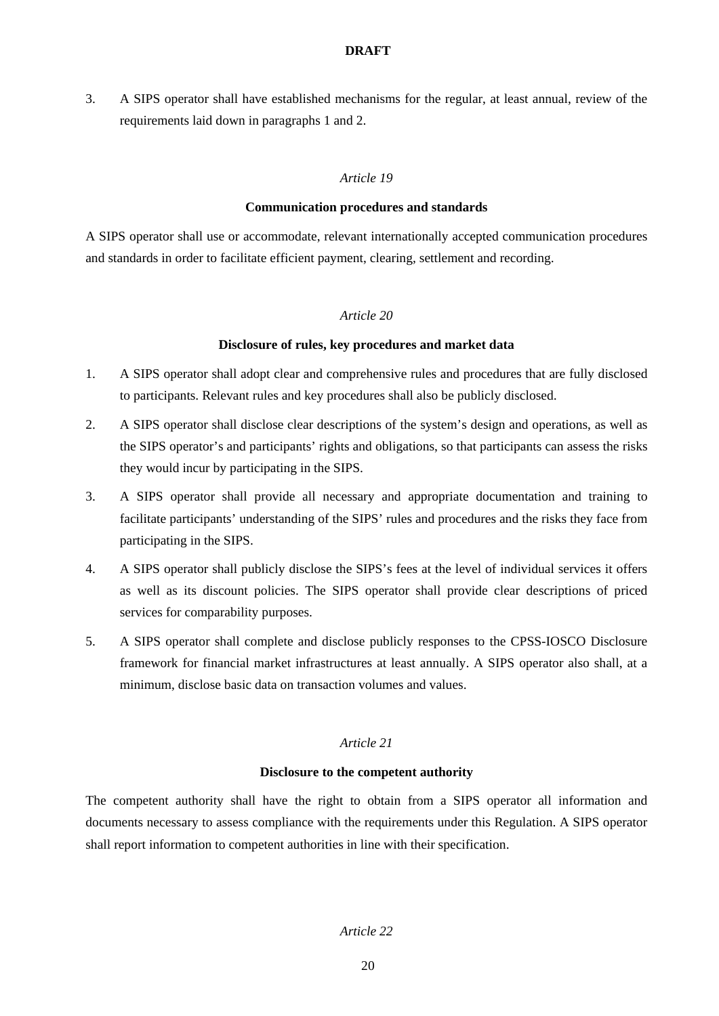3. A SIPS operator shall have established mechanisms for the regular, at least annual, review of the requirements laid down in paragraphs 1 and 2.

# *Article 19*

## **Communication procedures and standards**

A SIPS operator shall use or accommodate, relevant internationally accepted communication procedures and standards in order to facilitate efficient payment, clearing, settlement and recording.

## *Article 20*

## **Disclosure of rules, key procedures and market data**

- 1. A SIPS operator shall adopt clear and comprehensive rules and procedures that are fully disclosed to participants. Relevant rules and key procedures shall also be publicly disclosed.
- 2. A SIPS operator shall disclose clear descriptions of the system's design and operations, as well as the SIPS operator's and participants' rights and obligations, so that participants can assess the risks they would incur by participating in the SIPS.
- 3. A SIPS operator shall provide all necessary and appropriate documentation and training to facilitate participants' understanding of the SIPS' rules and procedures and the risks they face from participating in the SIPS.
- 4. A SIPS operator shall publicly disclose the SIPS's fees at the level of individual services it offers as well as its discount policies. The SIPS operator shall provide clear descriptions of priced services for comparability purposes.
- 5. A SIPS operator shall complete and disclose publicly responses to the CPSS-IOSCO Disclosure framework for financial market infrastructures at least annually. A SIPS operator also shall, at a minimum, disclose basic data on transaction volumes and values.

# *Article 21*

# **Disclosure to the competent authority**

The competent authority shall have the right to obtain from a SIPS operator all information and documents necessary to assess compliance with the requirements under this Regulation. A SIPS operator shall report information to competent authorities in line with their specification.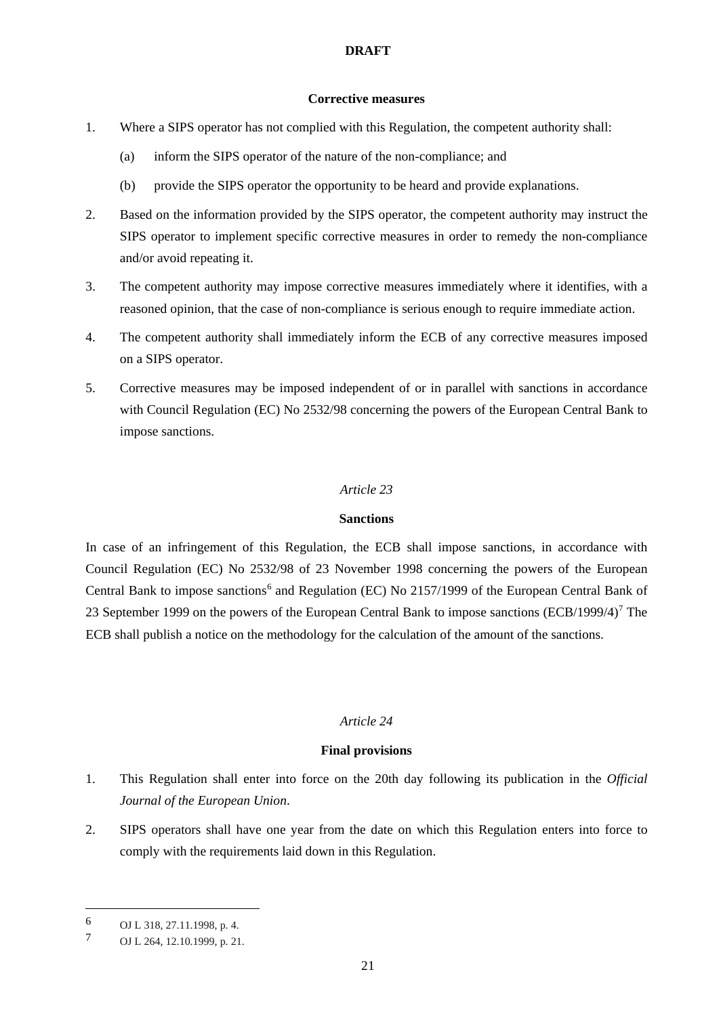## **Corrective measures**

- 1. Where a SIPS operator has not complied with this Regulation, the competent authority shall:
	- (a) inform the SIPS operator of the nature of the non-compliance; and
	- (b) provide the SIPS operator the opportunity to be heard and provide explanations.
- 2. Based on the information provided by the SIPS operator, the competent authority may instruct the SIPS operator to implement specific corrective measures in order to remedy the non-compliance and/or avoid repeating it.
- 3. The competent authority may impose corrective measures immediately where it identifies, with a reasoned opinion, that the case of non-compliance is serious enough to require immediate action.
- 4. The competent authority shall immediately inform the ECB of any corrective measures imposed on a SIPS operator.
- 5. Corrective measures may be imposed independent of or in parallel with sanctions in accordance with Council Regulation (EC) No 2532/98 concerning the powers of the European Central Bank to impose sanctions.

## *Article 23*

### **Sanctions**

In case of an infringement of this Regulation, the ECB shall impose sanctions, in accordance with Council Regulation (EC) No 2532/98 of 23 November 1998 concerning the powers of the European Central Bank to impose sanctions<sup>[6](#page-20-0)</sup> and Regulation (EC) No 2157/1999 of the European Central Bank of 23 September 1999 on the powers of the European Central Bank to impose sanctions  $(ECB/1999/4)^7$  $(ECB/1999/4)^7$  The ECB shall publish a notice on the methodology for the calculation of the amount of the sanctions.

# *Article 24*

# **Final provisions**

- 1. This Regulation shall enter into force on the 20th day following its publication in the *Official Journal of the European Union*.
- 2. SIPS operators shall have one year from the date on which this Regulation enters into force to comply with the requirements laid down in this Regulation.

**.** 

<span id="page-20-0"></span><sup>6</sup> OJ L 318, 27.11.1998, p. 4.

<span id="page-20-1"></span><sup>7</sup> OJ L 264, 12.10.1999, p. 21.